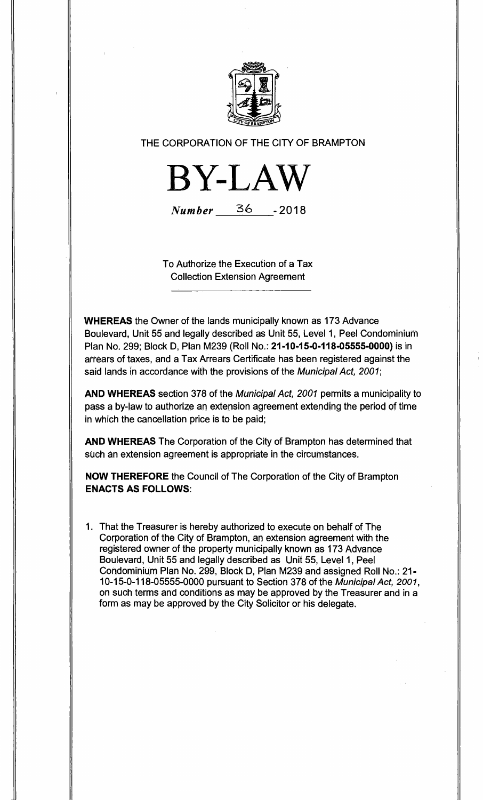

THE CORPORATION OF THE CITY OF BRAMPTON



Number 36 - 2018

To Authorize the Execution of a Tax Collection Extension Agreement

**WHEREAS** the Owner of the lands municipally known as 173 Advance Boulevard, Unit 55 and legally described as Unit 55, Level 1, Peel Condominium Plan No. 299; Block D, Plan M239 (Roll No.: **21-10-15-0-118-05555-0000)** is in arrears of taxes, and a Tax Arrears Certificate has been registered against the said lands in accordance with the provisions of the Municipal Act, 2001;

**AND WHEREAS** section 378 of the Municipal Act, 2001 permits a municipality to pass a by-law to authorize an extension agreement extending the period of time in which the cancellation price is to be paid;

**AND WHEREAS** The Corporation of the City of Brampton has determined that such an extension agreement is appropriate in the circumstances.

**NOW THEREFORE** the Council of The Corporation of the City of Brampton **ENACTS AS FOLLOWS:** 

1 That the Treasurer is hereby authorized to execute on behalf of The Corporation of the City of Brampton, an extension agreement with the registered owner of the property municipally known as 173 Advance Boulevard, Unit 55 and legally described as Unit 55, Level 1, Peel Condominium Plan No. 299, Block D, Plan M239 and assigned Roll No.: 21- 10-15-0-118-05555-0000 pursuant to Section 378 of the Municipal Act, 2001, on such terms and conditions as may be approved by the Treasurer and in a form as may be approved by the City Solicitor or his delegate.